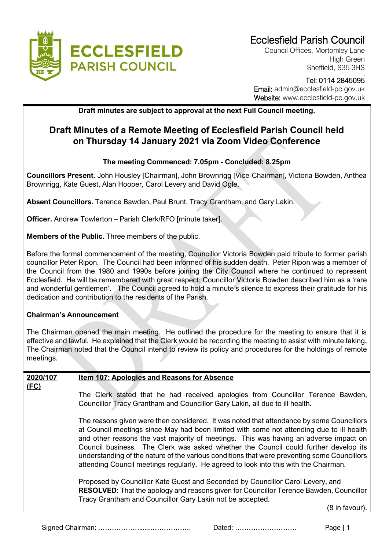

Council Offices, Mortomley Lane High Green Sheffield, S35 3HS

## Tel: 0114 2845095 Email: admin@ecclesfield-pc.gov.uk Website: www.ecclesfield-pc.gov.uk

**Draft minutes are subject to approval at the next Full Council meeting.** 

# **Draft Minutes of a Remote Meeting of Ecclesfield Parish Council held on Thursday 14 January 2021 via Zoom Video Conference**

## **The meeting Commenced: 7.05pm - Concluded: 8.25pm**

**Councillors Present.** John Housley [Chairman], John Brownrigg [Vice-Chairman], Victoria Bowden, Anthea Brownrigg, Kate Guest, Alan Hooper, Carol Levery and David Ogle.

**Absent Councillors.** Terence Bawden, Paul Brunt, Tracy Grantham, and Gary Lakin.

**Officer.** Andrew Towlerton – Parish Clerk/RFO [minute taker].

**Members of the Public.** Three members of the public.

Before the formal commencement of the meeting, Councillor Victoria Bowden paid tribute to former parish councillor Peter Ripon. The Council had been informed of his sudden death. Peter Ripon was a member of the Council from the 1980 and 1990s before joining the City Council where he continued to represent Ecclesfield. He will be remembered with great respect; Councillor Victoria Bowden described him as a 'rare and wonderful gentlemen'. The Council agreed to hold a minute's silence to express their gratitude for his dedication and contribution to the residents of the Parish.

#### **Chairman's Announcement**

The Chairman opened the main meeting. He outlined the procedure for the meeting to ensure that it is effective and lawful. He explained that the Clerk would be recording the meeting to assist with minute taking**.**  The Chairman noted that the Council intend to review its policy and procedures for the holdings of remote meetings.

| 2020/107<br>Item 107: Apologies and Reasons for Absence |                                                                                                                                                                                                                                                                                                                                                                                                                                                                                                                                                             |  |  |
|---------------------------------------------------------|-------------------------------------------------------------------------------------------------------------------------------------------------------------------------------------------------------------------------------------------------------------------------------------------------------------------------------------------------------------------------------------------------------------------------------------------------------------------------------------------------------------------------------------------------------------|--|--|
| (FC)                                                    |                                                                                                                                                                                                                                                                                                                                                                                                                                                                                                                                                             |  |  |
|                                                         | The Clerk stated that he had received apologies from Councillor Terence Bawden,                                                                                                                                                                                                                                                                                                                                                                                                                                                                             |  |  |
|                                                         | Councillor Tracy Grantham and Councillor Gary Lakin, all due to ill health.                                                                                                                                                                                                                                                                                                                                                                                                                                                                                 |  |  |
|                                                         | The reasons given were then considered. It was noted that attendance by some Councillors<br>at Council meetings since May had been limited with some not attending due to ill health<br>and other reasons the vast majority of meetings. This was having an adverse impact on<br>Council business. The Clerk was asked whether the Council could further develop its<br>understanding of the nature of the various conditions that were preventing some Councillors<br>attending Council meetings regularly. He agreed to look into this with the Chairman. |  |  |
|                                                         | Proposed by Councillor Kate Guest and Seconded by Councillor Carol Levery, and<br><b>RESOLVED:</b> That the apology and reasons given for Councillor Terence Bawden, Councillor<br>Tracy Grantham and Councillor Gary Lakin not be accepted.                                                                                                                                                                                                                                                                                                                |  |  |
|                                                         | (8 in favour).                                                                                                                                                                                                                                                                                                                                                                                                                                                                                                                                              |  |  |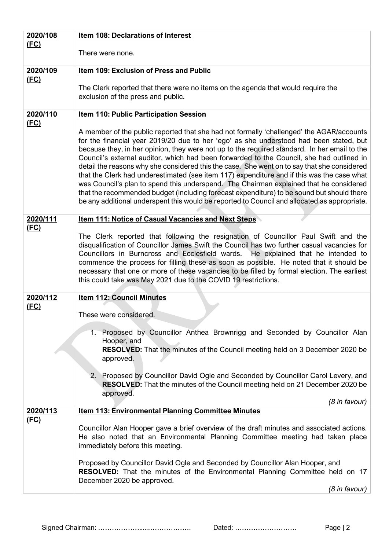| 2020/108    | Item 108: Declarations of Interest                                                                                                                                                                                                                                                                                                                                                                                                                                                                                                                                                                                                                                                                                                                                                                                                                                 |  |  |
|-------------|--------------------------------------------------------------------------------------------------------------------------------------------------------------------------------------------------------------------------------------------------------------------------------------------------------------------------------------------------------------------------------------------------------------------------------------------------------------------------------------------------------------------------------------------------------------------------------------------------------------------------------------------------------------------------------------------------------------------------------------------------------------------------------------------------------------------------------------------------------------------|--|--|
| <u>(FC)</u> | There were none.                                                                                                                                                                                                                                                                                                                                                                                                                                                                                                                                                                                                                                                                                                                                                                                                                                                   |  |  |
| 2020/109    | Item 109: Exclusion of Press and Public                                                                                                                                                                                                                                                                                                                                                                                                                                                                                                                                                                                                                                                                                                                                                                                                                            |  |  |
| (FC)        | The Clerk reported that there were no items on the agenda that would require the<br>exclusion of the press and public.                                                                                                                                                                                                                                                                                                                                                                                                                                                                                                                                                                                                                                                                                                                                             |  |  |
| 2020/110    | <b>Item 110: Public Participation Session</b>                                                                                                                                                                                                                                                                                                                                                                                                                                                                                                                                                                                                                                                                                                                                                                                                                      |  |  |
| (FC)        | A member of the public reported that she had not formally 'challenged' the AGAR/accounts<br>for the financial year 2019/20 due to her 'ego' as she understood had been stated, but<br>because they, in her opinion, they were not up to the required standard. In her email to the<br>Council's external auditor, which had been forwarded to the Council, she had outlined in<br>detail the reasons why she considered this the case. She went on to say that she considered<br>that the Clerk had underestimated (see item 117) expenditure and if this was the case what<br>was Council's plan to spend this underspend. The Chairman explained that he considered<br>that the recommended budget (including forecast expenditure) to be sound but should there<br>be any additional underspent this would be reported to Council and allocated as appropriate. |  |  |
| 2020/111    | <b>Item 111: Notice of Casual Vacancies and Next Steps</b>                                                                                                                                                                                                                                                                                                                                                                                                                                                                                                                                                                                                                                                                                                                                                                                                         |  |  |
| (FC)        | The Clerk reported that following the resignation of Councillor Paul Swift and the<br>disqualification of Councillor James Swift the Council has two further casual vacancies for<br>Councillors in Burncross and Ecclesfield wards. He explained that he intended to<br>commence the process for filling these as soon as possible. He noted that it should be<br>necessary that one or more of these vacancies to be filled by formal election. The earliest<br>this could take was May 2021 due to the COVID 19 restrictions.                                                                                                                                                                                                                                                                                                                                   |  |  |
| 2020/112    | <b>Item 112: Council Minutes</b>                                                                                                                                                                                                                                                                                                                                                                                                                                                                                                                                                                                                                                                                                                                                                                                                                                   |  |  |
| <u>(FC)</u> | These were considered.                                                                                                                                                                                                                                                                                                                                                                                                                                                                                                                                                                                                                                                                                                                                                                                                                                             |  |  |
|             | 1. Proposed by Councillor Anthea Brownrigg and Seconded by Councillor Alan<br>Hooper, and<br><b>RESOLVED:</b> That the minutes of the Council meeting held on 3 December 2020 be<br>approved.                                                                                                                                                                                                                                                                                                                                                                                                                                                                                                                                                                                                                                                                      |  |  |
|             | 2.<br>Proposed by Councillor David Ogle and Seconded by Councillor Carol Levery, and<br><b>RESOLVED:</b> That the minutes of the Council meeting held on 21 December 2020 be<br>approved.<br>(8 in favour)                                                                                                                                                                                                                                                                                                                                                                                                                                                                                                                                                                                                                                                         |  |  |
| 2020/113    | <b>Item 113: Environmental Planning Committee Minutes</b>                                                                                                                                                                                                                                                                                                                                                                                                                                                                                                                                                                                                                                                                                                                                                                                                          |  |  |
| (FC)        | Councillor Alan Hooper gave a brief overview of the draft minutes and associated actions.<br>He also noted that an Environmental Planning Committee meeting had taken place<br>immediately before this meeting.                                                                                                                                                                                                                                                                                                                                                                                                                                                                                                                                                                                                                                                    |  |  |
|             | Proposed by Councillor David Ogle and Seconded by Councillor Alan Hooper, and<br><b>RESOLVED:</b> That the minutes of the Environmental Planning Committee held on 17<br>December 2020 be approved.<br>(8 in favour)                                                                                                                                                                                                                                                                                                                                                                                                                                                                                                                                                                                                                                               |  |  |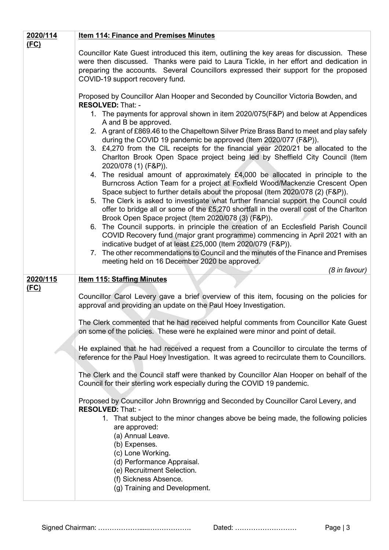| 2020/114 | <b>Item 114: Finance and Premises Minutes</b>                                                                                                                                                                                                                                                                                                                                                                                                                                                                                                                                                                                                                                                                                                                                                                                                                                                                                                                                                                                                                                                                                              |  |  |  |  |
|----------|--------------------------------------------------------------------------------------------------------------------------------------------------------------------------------------------------------------------------------------------------------------------------------------------------------------------------------------------------------------------------------------------------------------------------------------------------------------------------------------------------------------------------------------------------------------------------------------------------------------------------------------------------------------------------------------------------------------------------------------------------------------------------------------------------------------------------------------------------------------------------------------------------------------------------------------------------------------------------------------------------------------------------------------------------------------------------------------------------------------------------------------------|--|--|--|--|
| (FC)     |                                                                                                                                                                                                                                                                                                                                                                                                                                                                                                                                                                                                                                                                                                                                                                                                                                                                                                                                                                                                                                                                                                                                            |  |  |  |  |
|          | Councillor Kate Guest introduced this item, outlining the key areas for discussion. These<br>were then discussed. Thanks were paid to Laura Tickle, in her effort and dedication in<br>preparing the accounts. Several Councillors expressed their support for the proposed<br>COVID-19 support recovery fund.                                                                                                                                                                                                                                                                                                                                                                                                                                                                                                                                                                                                                                                                                                                                                                                                                             |  |  |  |  |
|          | Proposed by Councillor Alan Hooper and Seconded by Councillor Victoria Bowden, and<br><b>RESOLVED: That: -</b>                                                                                                                                                                                                                                                                                                                                                                                                                                                                                                                                                                                                                                                                                                                                                                                                                                                                                                                                                                                                                             |  |  |  |  |
|          | 1. The payments for approval shown in item 2020/075(F&P) and below at Appendices<br>A and B be approved.<br>2. A grant of £869.46 to the Chapeltown Silver Prize Brass Band to meet and play safely<br>during the COVID 19 pandemic be approved (Item 2020/077 (F&P)).<br>3. £4,270 from the CIL receipts for the financial year 2020/21 be allocated to the<br>Charlton Brook Open Space project being led by Sheffield City Council (Item<br>2020/078 (1) (F&P)).<br>4. The residual amount of approximately £4,000 be allocated in principle to the<br>Burncross Action Team for a project at Foxfield Wood/Mackenzie Crescent Open<br>Space subject to further details about the proposal (Item 2020/078 (2) (F&P)).<br>5. The Clerk is asked to investigate what further financial support the Council could<br>offer to bridge all or some of the £5,270 shortfall in the overall cost of the Charlton<br>Brook Open Space project (Item 2020/078 (3) (F&P)).<br>6. The Council supports. in principle the creation of an Ecclesfield Parish Council<br>COVID Recovery fund (major grant programme) commencing in April 2021 with an |  |  |  |  |
|          | indicative budget of at least £25,000 (Item 2020/079 (F&P)).<br>7. The other recommendations to Council and the minutes of the Finance and Premises                                                                                                                                                                                                                                                                                                                                                                                                                                                                                                                                                                                                                                                                                                                                                                                                                                                                                                                                                                                        |  |  |  |  |
|          | meeting held on 16 December 2020 be approved.<br>(8 in favour)                                                                                                                                                                                                                                                                                                                                                                                                                                                                                                                                                                                                                                                                                                                                                                                                                                                                                                                                                                                                                                                                             |  |  |  |  |
| 2020/115 | <b>Item 115: Staffing Minutes</b>                                                                                                                                                                                                                                                                                                                                                                                                                                                                                                                                                                                                                                                                                                                                                                                                                                                                                                                                                                                                                                                                                                          |  |  |  |  |
| (FC)     | Councillor Carol Levery gave a brief overview of this item, focusing on the policies for<br>approval and providing an update on the Paul Hoey Investigation.                                                                                                                                                                                                                                                                                                                                                                                                                                                                                                                                                                                                                                                                                                                                                                                                                                                                                                                                                                               |  |  |  |  |
|          | The Clerk commented that he had received helpful comments from Councillor Kate Guest<br>on some of the policies. These were he explained were minor and point of detail.                                                                                                                                                                                                                                                                                                                                                                                                                                                                                                                                                                                                                                                                                                                                                                                                                                                                                                                                                                   |  |  |  |  |
|          | He explained that he had received a request from a Councillor to circulate the terms of<br>reference for the Paul Hoey Investigation. It was agreed to recirculate them to Councillors.                                                                                                                                                                                                                                                                                                                                                                                                                                                                                                                                                                                                                                                                                                                                                                                                                                                                                                                                                    |  |  |  |  |
|          | The Clerk and the Council staff were thanked by Councillor Alan Hooper on behalf of the<br>Council for their sterling work especially during the COVID 19 pandemic.                                                                                                                                                                                                                                                                                                                                                                                                                                                                                                                                                                                                                                                                                                                                                                                                                                                                                                                                                                        |  |  |  |  |
|          | Proposed by Councillor John Brownrigg and Seconded by Councillor Carol Levery, and<br><b>RESOLVED: That: -</b><br>1. That subject to the minor changes above be being made, the following policies<br>are approved:<br>(a) Annual Leave.<br>(b) Expenses.<br>(c) Lone Working.<br>(d) Performance Appraisal.<br>(e) Recruitment Selection.<br>(f) Sickness Absence.<br>(g) Training and Development.                                                                                                                                                                                                                                                                                                                                                                                                                                                                                                                                                                                                                                                                                                                                       |  |  |  |  |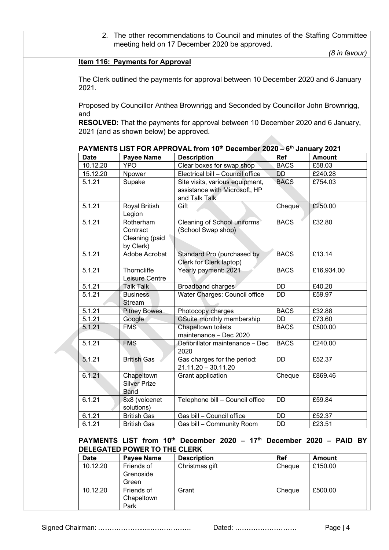2. The other recommendations to Council and minutes of the Staffing Committee meeting held on 17 December 2020 be approved.

*(8 in favour)*

#### **Item 116: Payments for Approval**

The Clerk outlined the payments for approval between 10 December 2020 and 6 January 2021.

Proposed by Councillor Anthea Brownrigg and Seconded by Councillor John Brownrigg, and

**RESOLVED:** That the payments for approval between 10 December 2020 and 6 January, 2021 (and as shown below) be approved.

| PAYMENTS LIST FOR APPROVAL from 10 <sup>th</sup> December 2020 – 6 <sup>th</sup> January 2021 |                                                      |                                                                                   |             |               |  |
|-----------------------------------------------------------------------------------------------|------------------------------------------------------|-----------------------------------------------------------------------------------|-------------|---------------|--|
| <b>Date</b>                                                                                   | <b>Payee Name</b>                                    | <b>Description</b>                                                                | Ref         | <b>Amount</b> |  |
| 10.12.20                                                                                      | <b>YPO</b>                                           | Clear boxes for swap shop                                                         | <b>BACS</b> | £58.03        |  |
| 15.12.20                                                                                      | Npower                                               | Electrical bill - Council office                                                  | <b>DD</b>   | £240.28       |  |
| 5.1.21                                                                                        | Supake                                               | Site visits, various equipment,<br>assistance with Microsoft, HP<br>and Talk Talk | <b>BACS</b> | £754.03       |  |
| 5.1.21                                                                                        | Royal British<br>Legion                              | Gift                                                                              | Cheque      | £250.00       |  |
| 5.1.21                                                                                        | Rotherham<br>Contract<br>Cleaning (paid<br>by Clerk) | Cleaning of School uniforms<br>(School Swap shop)                                 | <b>BACS</b> | £32.80        |  |
| 5.1.21                                                                                        | Adobe Acrobat                                        | Standard Pro (purchased by<br>Clerk for Clerk laptop)                             | <b>BACS</b> | £13.14        |  |
| 5.1.21                                                                                        | Thorncliffe<br>Leisure Centre                        | Yearly payment: 2021                                                              | <b>BACS</b> | £16,934.00    |  |
| 5.1.21                                                                                        | <b>Talk Talk</b>                                     | <b>Broadband charges</b>                                                          | <b>DD</b>   | £40.20        |  |
| 5.1.21                                                                                        | <b>Business</b><br><b>Stream</b>                     | Water Charges: Council office                                                     | DD          | £59.97        |  |
| 5.1.21                                                                                        | <b>Pitney Bowes</b>                                  | Photocopy charges                                                                 | <b>BACS</b> | £32.88        |  |
| 5.1.21                                                                                        | Google                                               | GSuite monthly membership                                                         | DD          | £73.60        |  |
| 5.1.21                                                                                        | <b>FMS</b>                                           | Chapeltown toilets<br>maintenance - Dec 2020                                      | <b>BACS</b> | £500.00       |  |
| 5.1.21                                                                                        | <b>FMS</b>                                           | Defibrillator maintenance - Dec<br>2020                                           | <b>BACS</b> | £240.00       |  |
| 5.1.21                                                                                        | <b>British Gas</b>                                   | Gas charges for the period:<br>21.11.20 - 30.11.20                                | DD          | £52.37        |  |
| 6.1.21                                                                                        | Chapeltown<br><b>Silver Prize</b><br>Band            | Grant application                                                                 | Cheque      | £869.46       |  |
| 6.1.21                                                                                        | 8x8 (voicenet<br>solutions)                          | Telephone bill - Council office                                                   | DD          | £59.84        |  |
| 6.1.21                                                                                        | <b>British Gas</b>                                   | Gas bill - Council office                                                         | <b>DD</b>   | £52.37        |  |
| 6.1.21                                                                                        | <b>British Gas</b>                                   | Gas bill - Community Room                                                         | DD          | £23.51        |  |

**PAYMENTS LIST from 10th December 2020 – 17th December 2020 – PAID BY DELEGATED POWER TO THE CLERK**

| <b>Date</b> | Payee Name | <b>Description</b> | Ref    | <b>Amount</b> |
|-------------|------------|--------------------|--------|---------------|
| 10.12.20    | Friends of | Christmas gift     | Cheque | £150.00       |
|             | Grenoside  |                    |        |               |
|             | Green      |                    |        |               |
| 10.12.20    | Friends of | Grant              | Cheque | £500.00       |
|             | Chapeltown |                    |        |               |
|             | Park       |                    |        |               |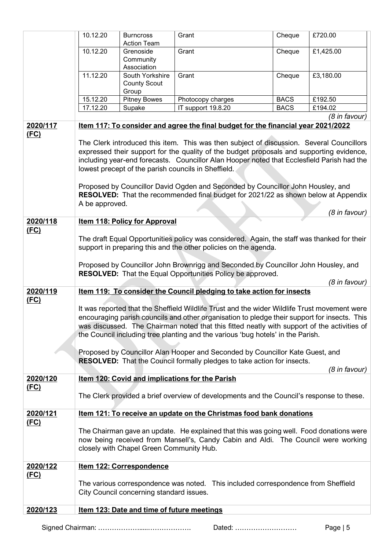|             | 10.12.20                                                                                                                                                                                                                                                                                                                                                                                                                                                                                                                                                                                                                                    | <b>Burncross</b><br><b>Action Team</b>          | Grant                                                                             | Cheque      | £720.00       |
|-------------|---------------------------------------------------------------------------------------------------------------------------------------------------------------------------------------------------------------------------------------------------------------------------------------------------------------------------------------------------------------------------------------------------------------------------------------------------------------------------------------------------------------------------------------------------------------------------------------------------------------------------------------------|-------------------------------------------------|-----------------------------------------------------------------------------------|-------------|---------------|
|             | 10.12.20                                                                                                                                                                                                                                                                                                                                                                                                                                                                                                                                                                                                                                    | Grenoside<br>Community                          | Grant                                                                             | Cheque      | £1,425.00     |
|             | 11.12.20                                                                                                                                                                                                                                                                                                                                                                                                                                                                                                                                                                                                                                    | Association                                     |                                                                                   |             |               |
|             |                                                                                                                                                                                                                                                                                                                                                                                                                                                                                                                                                                                                                                             | South Yorkshire<br><b>County Scout</b><br>Group | Grant                                                                             | Cheque      | £3,180.00     |
|             | 15.12.20                                                                                                                                                                                                                                                                                                                                                                                                                                                                                                                                                                                                                                    | Pitney Bowes                                    | Photocopy charges                                                                 | <b>BACS</b> | £192.50       |
|             | 17.12.20                                                                                                                                                                                                                                                                                                                                                                                                                                                                                                                                                                                                                                    | Supake                                          | IT support 19.8.20                                                                | <b>BACS</b> | £194.02       |
|             |                                                                                                                                                                                                                                                                                                                                                                                                                                                                                                                                                                                                                                             |                                                 |                                                                                   |             | (8 in favour) |
| 2020/117    |                                                                                                                                                                                                                                                                                                                                                                                                                                                                                                                                                                                                                                             |                                                 | Item 117: To consider and agree the final budget for the financial year 2021/2022 |             |               |
| (FC)        | The Clerk introduced this item. This was then subject of discussion. Several Councillors<br>expressed their support for the quality of the budget proposals and supporting evidence,<br>including year-end forecasts. Councillor Alan Hooper noted that Ecclesfield Parish had the<br>lowest precept of the parish councils in Sheffield.<br>Proposed by Councillor David Ogden and Seconded by Councillor John Housley, and<br>RESOLVED: That the recommended final budget for 2021/22 as shown below at Appendix<br>A be approved.                                                                                                        |                                                 |                                                                                   |             |               |
| 2020/118    |                                                                                                                                                                                                                                                                                                                                                                                                                                                                                                                                                                                                                                             |                                                 |                                                                                   |             | (8 in favour) |
| (FC)        | <b>Item 118: Policy for Approval</b><br>The draft Equal Opportunities policy was considered. Again, the staff was thanked for their<br>support in preparing this and the other policies on the agenda.<br>Proposed by Councillor John Brownrigg and Seconded by Councillor John Housley, and<br>RESOLVED: That the Equal Opportunities Policy be approved.                                                                                                                                                                                                                                                                                  |                                                 |                                                                                   |             |               |
| 2020/119    |                                                                                                                                                                                                                                                                                                                                                                                                                                                                                                                                                                                                                                             |                                                 |                                                                                   |             | (8 in favour) |
| <u>(FC)</u> | Item 119: To consider the Council pledging to take action for insects<br>It was reported that the Sheffield Wildlife Trust and the wider Wildlife Trust movement were<br>encouraging parish councils and other organisation to pledge their support for insects. This<br>was discussed. The Chairman noted that this fitted neatly with support of the activities of<br>the Council including tree planting and the various 'bug hotels' in the Parish.<br>Proposed by Councillor Alan Hooper and Seconded by Councillor Kate Guest, and<br><b>RESOLVED:</b> That the Council formally pledges to take action for insects.<br>(8 in favour) |                                                 |                                                                                   |             |               |
| 2020/120    | Item 120: Covid and implications for the Parish<br>The Clerk provided a brief overview of developments and the Council's response to these.                                                                                                                                                                                                                                                                                                                                                                                                                                                                                                 |                                                 |                                                                                   |             |               |
| <u>(FC)</u> |                                                                                                                                                                                                                                                                                                                                                                                                                                                                                                                                                                                                                                             |                                                 |                                                                                   |             |               |
| 2020/121    |                                                                                                                                                                                                                                                                                                                                                                                                                                                                                                                                                                                                                                             |                                                 | Item 121: To receive an update on the Christmas food bank donations               |             |               |
| (FC)        | The Chairman gave an update. He explained that this was going well. Food donations were<br>now being received from Mansell's, Candy Cabin and Aldi. The Council were working<br>closely with Chapel Green Community Hub.                                                                                                                                                                                                                                                                                                                                                                                                                    |                                                 |                                                                                   |             |               |
| 2020/122    |                                                                                                                                                                                                                                                                                                                                                                                                                                                                                                                                                                                                                                             | Item 122: Correspondence                        |                                                                                   |             |               |
| (FC)        |                                                                                                                                                                                                                                                                                                                                                                                                                                                                                                                                                                                                                                             | City Council concerning standard issues.        | The various correspondence was noted. This included correspondence from Sheffield |             |               |
| 2020/123    | Item 123: Date and time of future meetings                                                                                                                                                                                                                                                                                                                                                                                                                                                                                                                                                                                                  |                                                 |                                                                                   |             |               |
|             |                                                                                                                                                                                                                                                                                                                                                                                                                                                                                                                                                                                                                                             |                                                 |                                                                                   |             |               |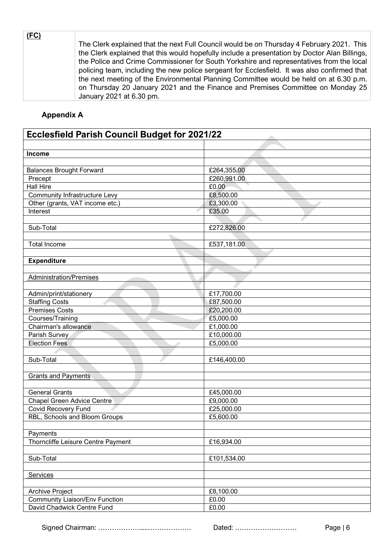| <u>(FC)</u> |                                                                                               |
|-------------|-----------------------------------------------------------------------------------------------|
|             | The Clerk explained that the next Full Council would be on Thursday 4 February 2021. This     |
|             | the Clerk explained that this would hopefully include a presentation by Doctor Alan Billings, |
|             | the Police and Crime Commissioner for South Yorkshire and representatives from the local      |
|             | policing team, including the new police sergeant for Ecclesfield. It was also confirmed that  |
|             | the next meeting of the Environmental Planning Committee would be held on at 6.30 p.m.        |
|             | on Thursday 20 January 2021 and the Finance and Premises Committee on Monday 25               |
|             | January 2021 at 6.30 pm.                                                                      |

## **Appendix A**

| <b>Ecclesfield Parish Council Budget for 2021/22</b> |             |  |  |
|------------------------------------------------------|-------------|--|--|
|                                                      |             |  |  |
| Income                                               |             |  |  |
|                                                      |             |  |  |
| <b>Balances Brought Forward</b>                      | £264,355.00 |  |  |
| Precept                                              | £260,991.00 |  |  |
| Hall Hire                                            | £0.00       |  |  |
| <b>Community Infrastructure Levy</b>                 | £8,500.00   |  |  |
| Other (grants, VAT income etc.)                      | £3,300.00   |  |  |
| Interest                                             | £35.00      |  |  |
|                                                      |             |  |  |
| Sub-Total                                            | £272,826.00 |  |  |
|                                                      |             |  |  |
| <b>Total Income</b>                                  | £537,181.00 |  |  |
|                                                      |             |  |  |
| <b>Expenditure</b>                                   |             |  |  |
|                                                      |             |  |  |
| <b>Administration/Premises</b>                       |             |  |  |
|                                                      |             |  |  |
| Admin/print/stationery                               | £17,700.00  |  |  |
| <b>Staffing Costs</b>                                | £87,500.00  |  |  |
| <b>Premises Costs</b>                                | £20,200.00  |  |  |
| Courses/Training                                     | £5,000.00   |  |  |
| Chairman's allowance                                 | £1,000.00   |  |  |
| Parish Survey                                        | £10,000.00  |  |  |
| <b>Election Fees</b>                                 | £5,000.00   |  |  |
|                                                      |             |  |  |
| Sub-Total                                            | £146,400.00 |  |  |
|                                                      |             |  |  |
| <b>Grants and Payments</b>                           |             |  |  |
|                                                      |             |  |  |
| <b>General Grants</b>                                | £45,000.00  |  |  |
| <b>Chapel Green Advice Centre</b>                    | £9,000.00   |  |  |
| Covid Recovery Fund                                  | £25,000.00  |  |  |
| RBL, Schools and Bloom Groups                        | £5,600.00   |  |  |
|                                                      |             |  |  |
| Payments                                             |             |  |  |
| Thorncliffe Leisure Centre Payment                   | £16,934.00  |  |  |
|                                                      |             |  |  |
| Sub-Total                                            | £101,534.00 |  |  |
|                                                      |             |  |  |
| <b>Services</b>                                      |             |  |  |
|                                                      |             |  |  |
| Archive Project                                      | £8,100.00   |  |  |
| <b>Community Liaison/Env Function</b>                | £0.00       |  |  |
| David Chadwick Centre Fund                           | £0.00       |  |  |